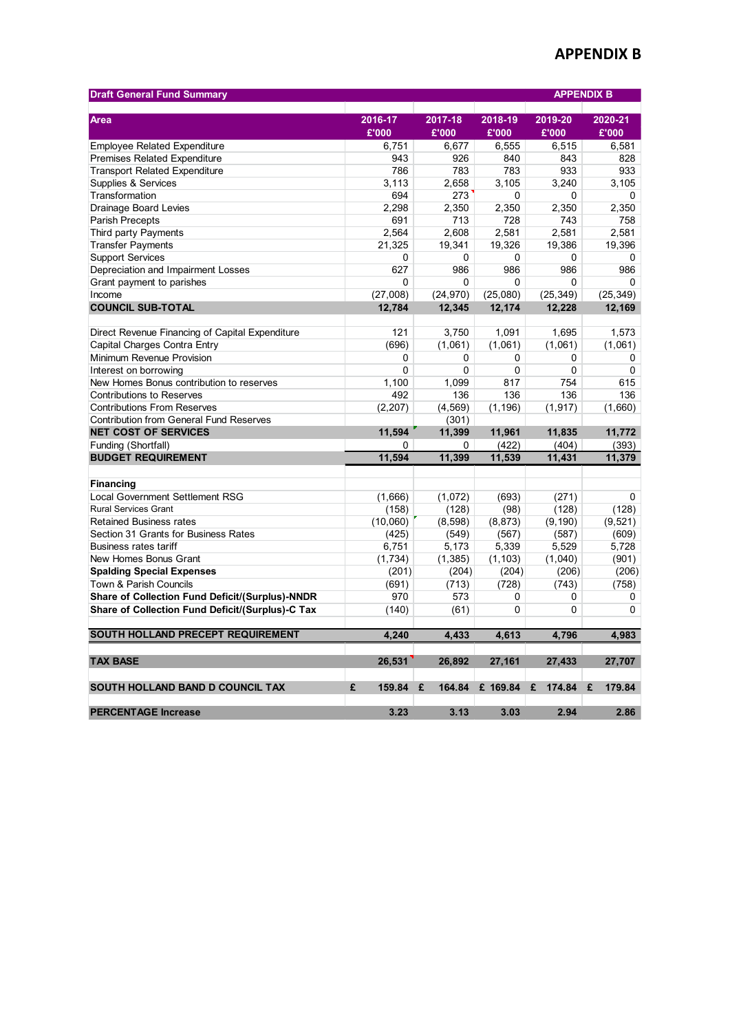## **APPENDIX B**

| <b>Draft General Fund Summary</b>                | <b>APPENDIX B</b> |             |             |             |             |
|--------------------------------------------------|-------------------|-------------|-------------|-------------|-------------|
|                                                  |                   |             |             |             |             |
| Area                                             | 2016-17           | 2017-18     | 2018-19     | 2019-20     | 2020-21     |
|                                                  | £'000             | £'000       | £'000       | £'000       | £'000       |
| <b>Employee Related Expenditure</b>              | 6,751             | 6,677       | 6,555       | 6,515       | 6.581       |
| Premises Related Expenditure                     | 943               | 926         | 840         | 843         | 828         |
| <b>Transport Related Expenditure</b>             | 786               | 783         | 783         | 933         | 933         |
| Supplies & Services                              | 3,113             | 2,658       | 3,105       | 3,240       | 3,105       |
| Transformation                                   | 694               | 273         | $\Omega$    | 0           | $\Omega$    |
| Drainage Board Levies                            | 2,298             | 2,350       | 2,350       | 2,350       | 2,350       |
| Parish Precepts                                  | 691               | 713         | 728         | 743         | 758         |
| Third party Payments                             | 2,564             | 2,608       | 2,581       | 2,581       | 2,581       |
| <b>Transfer Payments</b>                         | 21,325            | 19,341      | 19,326      | 19,386      | 19,396      |
| <b>Support Services</b>                          | 0                 | 0           | 0           | 0           | 0           |
| Depreciation and Impairment Losses               | 627               | 986         | 986         | 986         | 986         |
| Grant payment to parishes                        | 0                 | 0           | 0           | 0           | 0           |
| Income                                           | (27,008)          | (24, 970)   | (25,080)    | (25, 349)   | (25, 349)   |
| <b>COUNCIL SUB-TOTAL</b>                         | 12,784            | 12,345      | 12,174      | 12,228      | 12,169      |
|                                                  |                   |             |             |             |             |
| Direct Revenue Financing of Capital Expenditure  | 121               | 3,750       | 1,091       | 1,695       | 1,573       |
| Capital Charges Contra Entry                     | (696)             | (1,061)     | (1,061)     | (1,061)     | (1,061)     |
| Minimum Revenue Provision                        | 0                 | 0           | 0           | 0           | 0           |
| Interest on borrowing                            | $\Omega$          | 0           | $\mathbf 0$ | 0           | $\mathbf 0$ |
| New Homes Bonus contribution to reserves         | 1,100             | 1,099       | 817         | 754         | 615         |
| <b>Contributions to Reserves</b>                 | 492               | 136         | 136         | 136         | 136         |
| <b>Contributions From Reserves</b>               | (2, 207)          | (4, 569)    | (1, 196)    | (1, 917)    | (1,660)     |
| <b>Contribution from General Fund Reserves</b>   |                   | (301)       |             |             |             |
| <b>NET COST OF SERVICES</b>                      | 11,594            | 11,399      | 11,961      | 11,835      | 11,772      |
| Funding (Shortfall)                              | 0                 | 0           | (422)       | (404)       | (393)       |
| <b>BUDGET REQUIREMENT</b>                        | 11,594            | 11,399      | 11,539      | 11,431      | 11,379      |
|                                                  |                   |             |             |             |             |
| <b>Financing</b>                                 |                   |             |             |             |             |
| Local Government Settlement RSG                  | (1,666)           | (1,072)     | (693)       | (271)       | $\Omega$    |
| <b>Rural Services Grant</b>                      | (158)             | (128)       | (98)        | (128)       | (128)       |
| <b>Retained Business rates</b>                   | (10,060)          | (8,598)     | (8, 873)    | (9, 190)    | (9,521)     |
| Section 31 Grants for Business Rates             | (425)             | (549)       | (567)       | (587)       | (609)       |
| <b>Business rates tariff</b>                     | 6,751             | 5,173       | 5,339       | 5,529       | 5.728       |
| New Homes Bonus Grant                            | (1,734)           | (1,385)     | (1, 103)    | (1,040)     | (901)       |
| <b>Spalding Special Expenses</b>                 | (201)             | (204)       | (204)       | (206)       | (206)       |
| Town & Parish Councils                           | (691)             | (713)       | (728)       | (743)       | (758)       |
| Share of Collection Fund Deficit/(Surplus)-NNDR  | 970               | 573         | 0           | 0           | 0           |
| Share of Collection Fund Deficit/(Surplus)-C Tax | (140)             | (61)        | 0           | 0           | $\Omega$    |
| SOUTH HOLLAND PRECEPT REQUIREMENT                | 4,240             | 4,433       | 4,613       | 4,796       | 4,983       |
| <b>TAX BASE</b>                                  | 26,531            | 26,892      | 27,161      | 27,433      | 27,707      |
| SOUTH HOLLAND BAND D COUNCIL TAX                 | £<br>159.84       | £<br>164.84 | £ 169.84    | £<br>174.84 | £<br>179.84 |
|                                                  |                   |             |             |             |             |
| <b>PERCENTAGE Increase</b>                       | 3.23              | 3.13        | 3.03        | 2.94        | 2.86        |